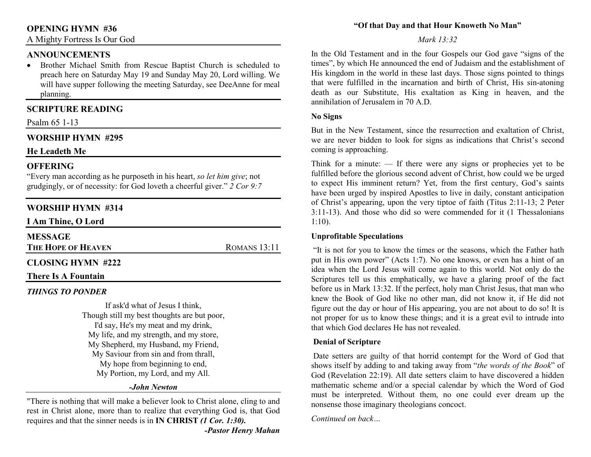# **OPENING HYMN #36**

A Mighty Fortress Is Our God

## **ANNOUNCEMENTS**

 • Brother Michael Smith from Rescue Baptist Church is scheduled to preach here on Saturday May 19 and Sunday May 20, Lord willing. We will have supper following the meeting Saturday, see DeeAnne for meal planning.

## **SCRIPTURE READING**

#### Psalm 65 1-13

## **WORSHIP HYMN #295**

#### **He Leadeth Me**

## **OFFERING**

 "Every man according as he purposeth in his heart, *so let him give*; not grudgingly, or of necessity: for God loveth a cheerful giver." *2 Cor 9:7*

## **WORSHIP HYMN #314**

**I Am Thine, O Lord**

| <b>MESSAGE</b> |  |
|----------------|--|
|                |  |

**THE HOPE OF HEAVEN**

ROMANS 13:11

## **CLOSING HYMN #222**

#### **There Is A Fountain**

## *THINGS TO PONDER*

If ask'd what of Jesus I think, Though still my best thoughts are but poor, I'd say, He's my meat and my drink, My life, and my strength, and my store, My Shepherd, my Husband, my Friend, My Saviour from sin and from thrall, My hope from beginning to end, My Portion, my Lord, and my All.

#### *-John Newton*

"There is nothing that will make a believer look to Christ alone, cling to and rest in Christ alone, more than to realize that everything God is, that God requires and that the sinner needs is in **IN CHRIST** *(1 Cor. 1:30). -Pastor Henry Mahan*

#### **"Of that Day and that Hour Knoweth No Man"**

#### *Mark 13:32*

In the Old Testament and in the four Gospels our God gave "signs of the times", by which He announced the end of Judaism and the establishment of His kingdom in the world in these last days. Those signs pointed to things that were fulfilled in the incarnation and birth of Christ, His sin-atoning death as our Substitute, His exaltation as King in heaven, and the annihilation of Jerusalem in 70 A.D.

#### **No Signs**

But in the New Testament, since the resurrection and exaltation of Christ, we are never bidden to look for signs as indications that Christ's second coming is approaching.

Think for a minute:  $\frac{d}{dx}$  If there were any signs or prophecies yet to be fulfilled before the glorious second advent of Christ, how could we be urged to expect His imminent return? Yet, from the first century, God's saints have been urged by inspired Apostles to live in daily, constant anticipation of Christ's appearing, upon the very tiptoe of faith (Titus 2:11-13; 2 Peter 3:11-13). And those who did so were commended for it (1 Thessalonians 1:10).

#### **Unprofitable Speculations**

 "It is not for you to know the times or the seasons, which the Father hath put in His own power" (Acts 1:7). No one knows, or even has a hint of an idea when the Lord Jesus will come again to this world. Not only do the Scriptures tell us this emphatically, we have a glaring proof of the fact before us in Mark 13:32. If the perfect, holy man Christ Jesus, that man who knew the Book of God like no other man, did not know it, if He did not figure out the day or hour of His appearing, you are not about to do so! It is not proper for us to know these things; and it is a great evil to intrude into that which God declares He has not revealed.

#### **Denial of Scripture**

 Date setters are guilty of that horrid contempt for the Word of God that shows itself by adding to and taking away from "*the words of the Book*" of God (Revelation 22:19). All date setters claim to have discovered a hidden mathematic scheme and/or a special calendar by which the Word of God must be interpreted. Without them, no one could ever dream up the nonsense those imaginary theologians concoct.

*Continued on back…*